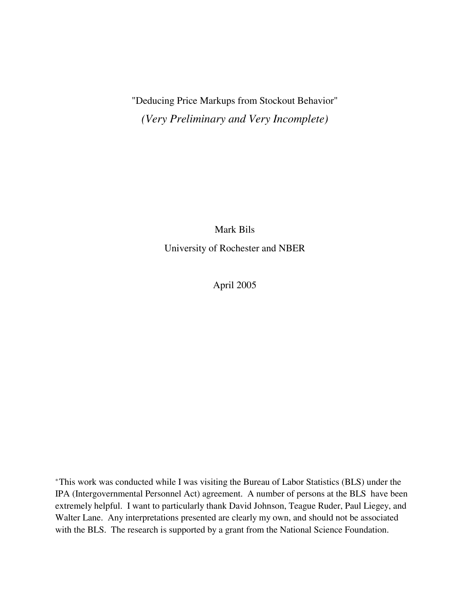# "Deducing Price Markups from Stockout Behavior" *(Very Preliminary and Very Incomplete)*

Mark Bils University of Rochester and NBER

April 2005

‡This work was conducted while I was visiting the Bureau of Labor Statistics (BLS) under the IPA (Intergovernmental Personnel Act) agreement. A number of persons at the BLS have been extremely helpful. I want to particularly thank David Johnson, Teague Ruder, Paul Liegey, and Walter Lane. Any interpretations presented are clearly my own, and should not be associated with the BLS. The research is supported by a grant from the National Science Foundation.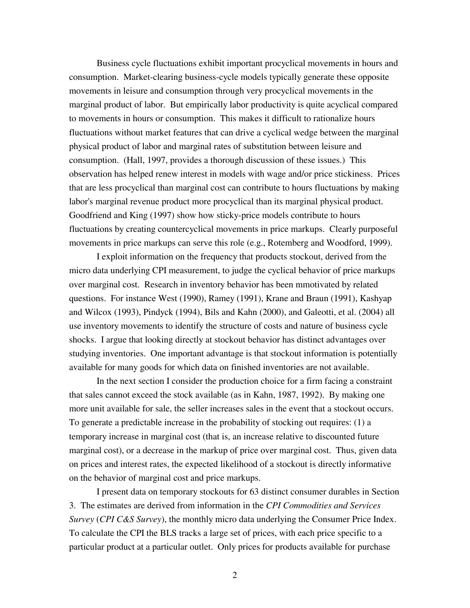Business cycle fluctuations exhibit important procyclical movements in hours and consumption. Market-clearing business-cycle models typically generate these opposite movements in leisure and consumption through very procyclical movements in the marginal product of labor. But empirically labor productivity is quite acyclical compared to movements in hours or consumption. This makes it difficult to rationalize hours fluctuations without market features that can drive a cyclical wedge between the marginal physical product of labor and marginal rates of substitution between leisure and consumption. (Hall, 1997, provides a thorough discussion of these issues.) This observation has helped renew interest in models with wage and/or price stickiness. Prices that are less procyclical than marginal cost can contribute to hours fluctuations by making labor's marginal revenue product more procyclical than its marginal physical product. Goodfriend and King (1997) show how sticky-price models contribute to hours fluctuations by creating countercyclical movements in price markups. Clearly purposeful movements in price markups can serve this role (e.g., Rotemberg and Woodford, 1999).

I exploit information on the frequency that products stockout, derived from the micro data underlying CPI measurement, to judge the cyclical behavior of price markups over marginal cost. Research in inventory behavior has been mmotivated by related questions. For instance West (1990), Ramey (1991), Krane and Braun (1991), Kashyap and Wilcox (1993), Pindyck (1994), Bils and Kahn (2000), and Galeotti, et al. (2004) all use inventory movements to identify the structure of costs and nature of business cycle shocks. I argue that looking directly at stockout behavior has distinct advantages over studying inventories. One important advantage is that stockout information is potentially available for many goods for which data on finished inventories are not available.

In the next section I consider the production choice for a firm facing a constraint that sales cannot exceed the stock available (as in Kahn, 1987, 1992). By making one more unit available for sale, the seller increases sales in the event that a stockout occurs. To generate a predictable increase in the probability of stocking out requires: (1) a temporary increase in marginal cost (that is, an increase relative to discounted future marginal cost), or a decrease in the markup of price over marginal cost. Thus, given data on prices and interest rates, the expected likelihood of a stockout is directly informative on the behavior of marginal cost and price markups.

I present data on temporary stockouts for 63 distinct consumer durables in Section 3. The estimates are derived from information in the *CPI Commodities and Services Survey (CPI C&S Survey)*, the monthly micro data underlying the Consumer Price Index. To calculate the CPI the BLS tracks a large set of prices, with each price specific to a particular product at a particular outlet. Only prices for products available for purchase

2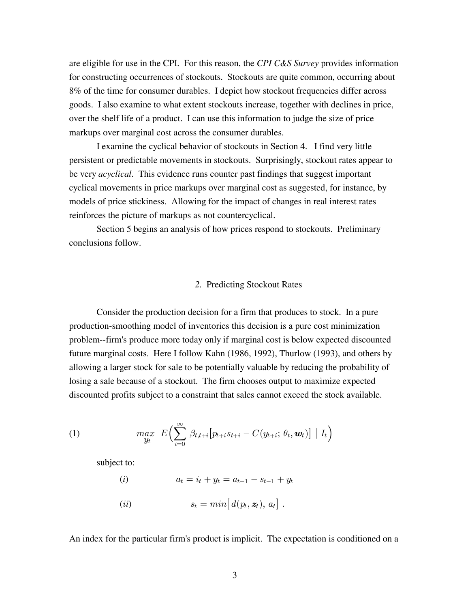are eligible for use in the CPI. For this reason, the CPI C&S Survey provides information for constructing occurrences of stockouts. Stockouts are quite common, occurring about 8% of the time for consumer durables. I depict how stockout frequencies differ across goods. I also examine to what extent stockouts increase, together with declines in price, over the shelf life of a product. I can use this information to judge the size of price markups over marginal cost across the consumer durables.

I examine the cyclical behavior of stockouts in Section 4. I find very little persistent or predictable movements in stockouts. Surprisingly, stockout rates appear to be very *acyclical*. This evidence runs counter past findings that suggest important cyclical movements in price markups over marginal cost as suggested, for instance, by models of price stickiness. Allowing for the impact of changes in real interest rates reinforces the picture of markups as not countercyclical.

Section 5 begins an analysis of how prices respond to stockouts. Preliminary conclusions follow.

## *2.* Predicting Stockout Rates

Consider the production decision for a firm that produces to stock. In a pure production-smoothing model of inventories this decision is a pure cost minimization problem--firm's produce more today only if marginal cost is below expected discounted future marginal costs. Here I follow Kahn (1986, 1992), Thurlow (1993), and others by allowing a larger stock for sale to be potentially valuable by reducing the probability of losing a sale because of a stockout. The firm chooses output to maximize expected discounted profits subject to a constraint that sales cannot exceed the stock available.

(1) 
$$
\max_{y_t} E\Biggl(\sum_{i=0}^{\infty} \beta_{t,t+i} [p_{t+i} s_{t+i} - C(y_{t+i}; \theta_t, \boldsymbol{w}_t)] | I_t \Biggr)
$$

subject to:

(i) 
$$
a_t = i_t + y_t = a_{t-1} - s_{t-1} + y_t
$$

$$
(ii) \t s_t = min \big[ d(p_t, \boldsymbol{z}_t), \, a_t \big] \; .
$$

An index for the particular firm's product is implicit. The expectation is conditioned on a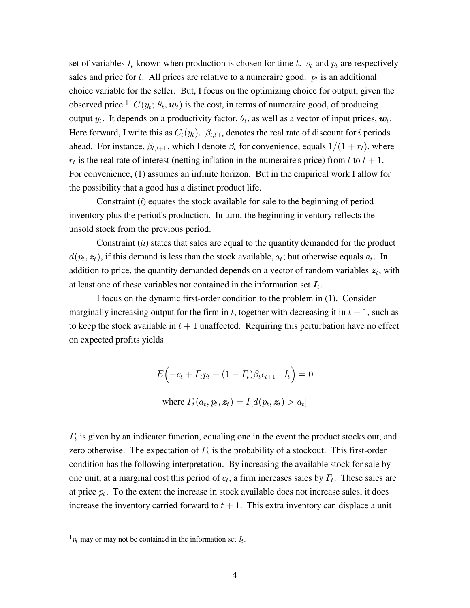set of variables  $I_t$  known when production is chosen for time t.  $s_t$  and  $p_t$  are respectively sales and price for t. All prices are relative to a numeraire good.  $p_t$  is an additional choice variable for the seller. But, I focus on the optimizing choice for output, given the observed price.<sup>1</sup>  $C(y_t; \theta_t, \mathbf{w}_t)$  is the cost, in terms of numeraire good, of producing output  $y_t$ . It depends on a productivity factor,  $\theta_t$ , as well as a vector of input prices,  $\boldsymbol{w}_t$ . Here forward, I write this as  $C_t(y_t)$ .  $\beta_{t,t+i}$  denotes the real rate of discount for i periods ahead. For instance,  $\beta_{t,t+1}$ , which I denote  $\beta_t$  for convenience, equals  $1/(1+r_t)$ , where  $r_t$  is the real rate of interest (netting inflation in the numeraire's price) from t to  $t + 1$ . For convenience, (1) assumes an infinite horizon. But in the empirical work I allow for the possibility that a good has a distinct product life.

Constraint (*i*) equates the stock available for sale to the beginning of period inventory plus the period's production. In turn, the beginning inventory reflects the unsold stock from the previous period.

Constraint *(ii)* states that sales are equal to the quantity demanded for the product  $d(p_t, z_t)$ , if this demand is less than the stock available,  $a_t$ ; but otherwise equals  $a_t$ . In addition to price, the quantity demanded depends on a vector of random variables  $z_t$ , with at least one of these variables not contained in the information set  $I_t$ .

I focus on the dynamic first-order condition to the problem in (1). Consider marginally increasing output for the firm in t, together with decreasing it in  $t + 1$ , such as to keep the stock available in  $t + 1$  unaffected. Requiring this perturbation have no effect on expected profits yields

$$
E\Big(-c_t + \Gamma_t p_t + (1 - \Gamma_t)\beta_t c_{t+1} | I_t\Big) = 0
$$
  
where  $\Gamma_t(a_t, p_t, \mathbf{z}_t) = I[d(p_t, \mathbf{z}_t) > a_t]$ 

 $\Gamma_t$  is given by an indicator function, equaling one in the event the product stocks out, and zero otherwise. The expectation of  $\Gamma_t$  is the probability of a stockout. This first-order condition has the following interpretation. By increasing the available stock for sale by one unit, at a marginal cost this period of  $c_t$ , a firm increases sales by  $\Gamma_t$ . These sales are at price  $p_t$ . To the extent the increase in stock available does not increase sales, it does increase the inventory carried forward to  $t + 1$ . This extra inventory can displace a unit

 $1_{p_t}$  may or may not be contained in the information set  $I_t$ .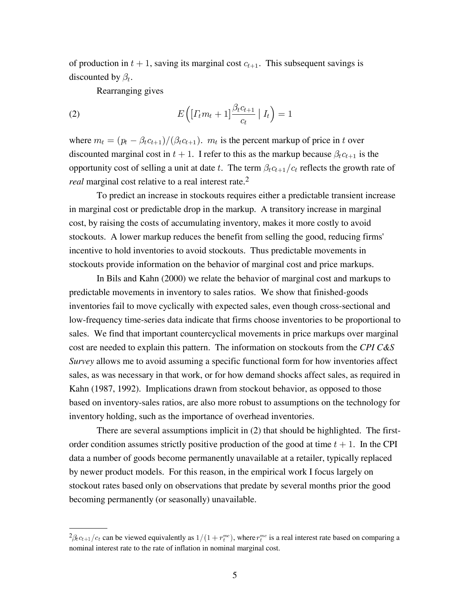of production in  $t + 1$ , saving its marginal cost  $c_{t+1}$ . This subsequent savings is discounted by  $\beta_t$ .

Rearranging gives

(2) 
$$
E\left(\left[\Gamma_t m_t + 1\right] \frac{\beta_t c_{t+1}}{c_t} \mid I_t\right) = 1
$$

where  $m_t = (p_t - \beta_t c_{t+1})/(\beta_t c_{t+1})$ .  $m_t$  is the percent markup of price in t over discounted marginal cost in  $t + 1$ . I refer to this as the markup because  $\beta_t c_{t+1}$  is the opportunity cost of selling a unit at date t. The term  $\beta_t c_{t+1}/c_t$  reflects the growth rate of *real* marginal cost relative to a real interest rate.<sup>2</sup>

To predict an increase in stockouts requires either a predictable transient increase in marginal cost or predictable drop in the markup. A transitory increase in marginal cost, by raising the costs of accumulating inventory, makes it more costly to avoid stockouts. A lower markup reduces the benefit from selling the good, reducing firms' incentive to hold inventories to avoid stockouts. Thus predictable movements in stockouts provide information on the behavior of marginal cost and price markups.

In Bils and Kahn (2000) we relate the behavior of marginal cost and markups to predictable movements in inventory to sales ratios. We show that finished-goods inventories fail to move cyclically with expected sales, even though cross-sectional and low-frequency time-series data indicate that firms choose inventories to be proportional to sales. We find that important countercyclical movements in price markups over marginal cost are needed to explain this pattern. The information on stockouts from the *CPI C&S Survey* allows me to avoid assuming a specific functional form for how inventories affect sales, as was necessary in that work, or for how demand shocks affect sales, as required in Kahn (1987, 1992). Implications drawn from stockout behavior, as opposed to those based on inventory-sales ratios, are also more robust to assumptions on the technology for inventory holding, such as the importance of overhead inventories.

There are several assumptions implicit in (2) that should be highlighted. The firstorder condition assumes strictly positive production of the good at time  $t + 1$ . In the CPI data a number of goods become permanently unavailable at a retailer, typically replaced by newer product models. For this reason, in the empirical work I focus largely on stockout rates based only on observations that predate by several months prior the good becoming permanently (or seasonally) unavailable.

 ${}^{2}\beta_{t}c_{t+1}/c_{t}$  can be viewed equivalently as  $1/(1+r_{t}^{mc})$ , where  $r_{t}^{mc}$  is a real interest rate based on comparing a nominal interest rate to the rate of inflation in nominal marginal cost.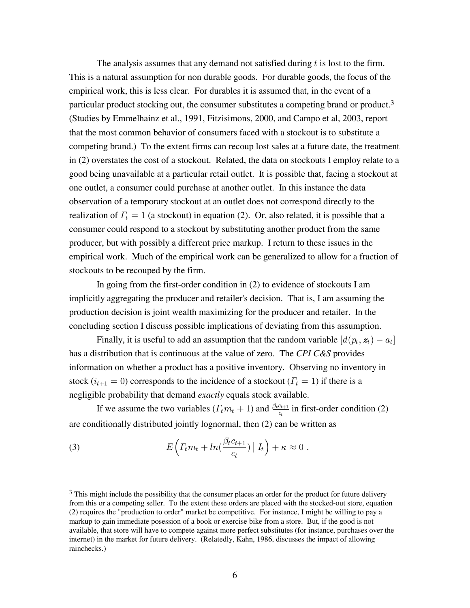The analysis assumes that any demand not satisfied during  $t$  is lost to the firm. This is a natural assumption for non durable goods. For durable goods, the focus of the empirical work, this is less clear. For durables it is assumed that, in the event of a particular product stocking out, the consumer substitutes a competing brand or product.3 (Studies by Emmelhainz et al., 1991, Fitzisimons, 2000, and Campo et al, 2003, report that the most common behavior of consumers faced with a stockout is to substitute a competing brand.) To the extent firms can recoup lost sales at a future date, the treatment in (2) overstates the cost of a stockout. Related, the data on stockouts I employ relate to a good being unavailable at a particular retail outlet. It is possible that, facing a stockout at one outlet, a consumer could purchase at another outlet. In this instance the data observation of a temporary stockout at an outlet does not correspond directly to the realization of  $\Gamma_t = 1$  (a stockout) in equation (2). Or, also related, it is possible that a consumer could respond to a stockout by substituting another product from the same producer, but with possibly a different price markup. I return to these issues in the empirical work. Much of the empirical work can be generalized to allow for a fraction of stockouts to be recouped by the firm.

In going from the first-order condition in (2) to evidence of stockouts I am implicitly aggregating the producer and retailer's decision. That is, I am assuming the production decision is joint wealth maximizing for the producer and retailer. In the concluding section I discuss possible implications of deviating from this assumption.

Finally, it is useful to add an assumption that the random variable  $[d(p_t, z_t) - a_t]$ has a distribution that is continuous at the value of zero. The CPI C&S provides information on whether a product has a positive inventory. Observing no inventory in stock  $(i_{t+1} = 0)$  corresponds to the incidence of a stockout  $(T_t = 1)$  if there is a negligible probability that demand exactly equals stock available.

If we assume the two variables  $(\Gamma_t m_t + 1)$  and  $\frac{\beta_t c_{t+1}}{c_t}$  in first-order condition (2) are conditionally distributed jointly lognormal, then (2) can be written as

(3) 
$$
E\left(\Gamma_t m_t + \ln\left(\frac{\beta_t c_{t+1}}{c_t}\right) | I_t\right) + \kappa \approx 0.
$$

<sup>&</sup>lt;sup>3</sup> This might include the possibility that the consumer places an order for the product for future delivery from this or a competing seller. To the extent these orders are placed with the stocked-out store, equation (2) requires the "production to order" market be competitive. For instance, I might be willing to pay a markup to gain immediate posession of a book or exercise bike from a store. But, if the good is not available, that store will have to compete against more perfect substitutes (for instance, purchases over the internet) in the market for future delivery. (Relatedly, Kahn, 1986, discusses the impact of allowing rainchecks.)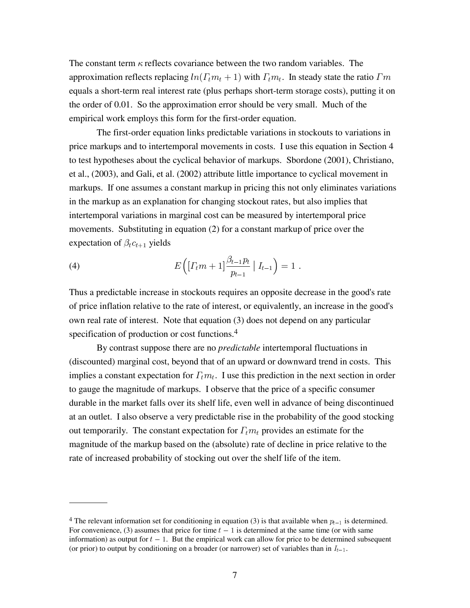The constant term  $\kappa$  reflects covariance between the two random variables. The approximation reflects replacing  $ln(\Gamma_t m_t + 1)$  with  $\Gamma_t m_t$ . In steady state the ratio  $\Gamma m$ equals a short-term real interest rate (plus perhaps short-term storage costs), putting it on the order of 0.01. So the approximation error should be very small. Much of the empirical work employs this form for the first-order equation.

The first-order equation links predictable variations in stockouts to variations in price markups and to intertemporal movements in costs. I use this equation in Section 4 to test hypotheses about the cyclical behavior of markups. Sbordone (2001), Christiano, et al., (2003), and Gali, et al. (2002) attribute little importance to cyclical movement in markups. If one assumes a constant markup in pricing this not only eliminates variations in the markup as an explanation for changing stockout rates, but also implies that intertemporal variations in marginal cost can be measured by intertemporal price movements. Substituting in equation (2) for a constant markup of price over the expectation of  $\beta_t c_{t+1}$  yields

(4) 
$$
E\left(\left[\Gamma_t m + 1\right] \frac{\beta_{t-1} p_t}{p_{t-1}} \mid I_{t-1}\right) = 1.
$$

Thus a predictable increase in stockouts requires an opposite decrease in the good's rate of price inflation relative to the rate of interest, or equivalently, an increase in the good's own real rate of interest. Note that equation (3) does not depend on any particular specification of production or cost functions.<sup>4</sup>

By contrast suppose there are no *predictable* intertemporal fluctuations in (discounted) marginal cost, beyond that of an upward or downward trend in costs. This implies a constant expectation for  $\Gamma_t m_t$ . I use this prediction in the next section in order to gauge the magnitude of markups. I observe that the price of a specific consumer durable in the market falls over its shelf life, even well in advance of being discontinued at an outlet. I also observe a very predictable rise in the probability of the good stocking out temporarily. The constant expectation for  $\Gamma_t m_t$  provides an estimate for the magnitude of the markup based on the (absolute) rate of decline in price relative to the rate of increased probability of stocking out over the shelf life of the item.

<sup>&</sup>lt;sup>4</sup> The relevant information set for conditioning in equation (3) is that available when  $p_{t-1}$  is determined. For convenience, (3) assumes that price for time  $t - 1$  is determined at the same time (or with same information) as output for  $t - 1$ . But the empirical work can allow for price to be determined subsequent (or prior) to output by conditioning on a broader (or narrower) set of variables than in  $I_{t-1}$ .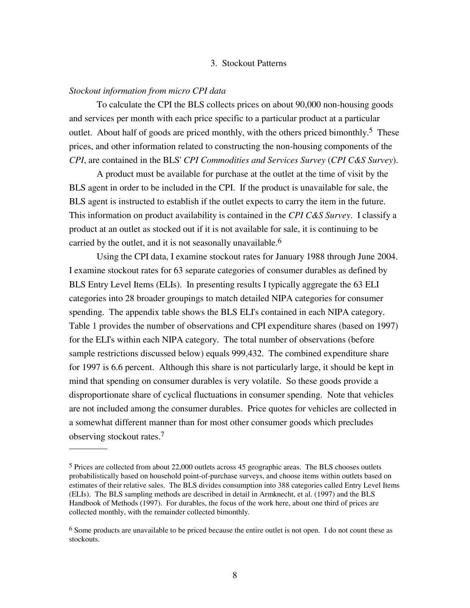## 3. Stockout Patterns

## *Stockout information from micro CPI data*

To calculate the CPI the BLS collects prices on about 90,000 non-housing goods and services per month with each price specific to a particular product at a particular outlet. About half of goods are priced monthly, with the others priced bimonthly.<sup>5</sup> These prices, and other information related to constructing the non-housing components of the *CPI*, are contained in the BLS' *CPI Commodities and Services Survey (CPI C&S Survey)*.

A product must be available for purchase at the outlet at the time of visit by the BLS agent in order to be included in the CPI. If the product is unavailable for sale, the BLS agent is instructed to establish if the outlet expects to carry the item in the future. This information on product availability is contained in the CPI C&S Survey. I classify a product at an outlet as stocked out if it is not available for sale, it is continuing to be carried by the outlet, and it is not seasonally unavailable.<sup>6</sup>

Using the CPI data, I examine stockout rates for January 1988 through June 2004. I examine stockout rates for 63 separate categories of consumer durables as defined by BLS Entry Level Items (ELIs). In presenting results I typically aggregate the 63 ELI categories into 28 broader groupings to match detailed NIPA categories for consumer spending. The appendix table shows the BLS ELI's contained in each NIPA category. Table 1 provides the number of observations and CPI expenditure shares (based on 1997) for the ELI's within each NIPA category. The total number of observations (before sample restrictions discussed below) equals 999,432. The combined expenditure share for 1997 is 6.6 percent. Although this share is not particularly large, it should be kept in mind that spending on consumer durables is very volatile. So these goods provide a disproportionate share of cyclical fluctuations in consumer spending. Note that vehicles are not included among the consumer durables. Price quotes for vehicles are collected in a somewhat different manner than for most other consumer goods which precludes observing stockout rates.7

<sup>5</sup> Prices are collected from about 22,000 outlets across 45 geographic areas. The BLS chooses outlets probabilistically based on household point-of-purchase surveys, and choose items within outlets based on estimates of their relative sales. The BLS divides consumption into 388 categories called Entry Level Items (ELIs). The BLS sampling methods are described in detail in Armknecht, et al. (1997) and the BLS Handbook of Methods (1997). For durables, the focus of the work here, about one third of prices are collected monthly, with the remainder collected bimonthly.

<sup>&</sup>lt;sup>6</sup> Some products are unavailable to be priced because the entire outlet is not open. I do not count these as stockouts.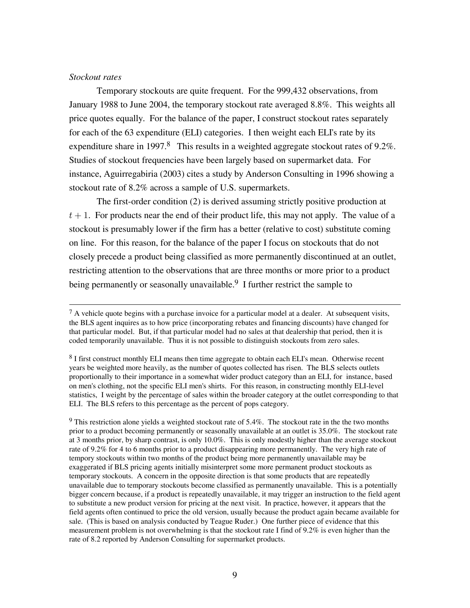### *Stockout rates*

Temporary stockouts are quite frequent. For the 999,432 observations, from January 1988 to June 2004, the temporary stockout rate averaged 8.8%. This weights all price quotes equally. For the balance of the paper, I construct stockout rates separately for each of the 63 expenditure (ELI) categories. I then weight each ELI's rate by its expenditure share in 1997.<sup>8</sup> This results in a weighted aggregate stockout rates of 9.2%. Studies of stockout frequencies have been largely based on supermarket data. For instance, Aguirregabiria (2003) cites a study by Anderson Consulting in 1996 showing a stockout rate of 8.2% across a sample of U.S. supermarkets.

The first-order condition (2) is derived assuming strictly positive production at  $t + 1$ . For products near the end of their product life, this may not apply. The value of a stockout is presumably lower if the firm has a better (relative to cost) substitute coming on line. For this reason, for the balance of the paper I focus on stockouts that do not closely precede a product being classified as more permanently discontinued at an outlet, restricting attention to the observations that are three months or more prior to a product being permanently or seasonally unavailable.<sup>9</sup> I further restrict the sample to

<sup>9</sup> This restriction alone yields a weighted stockout rate of 5.4%. The stockout rate in the the two months prior to a product becoming permanently or seasonally unavailable at an outlet is 35.0%. The stockout rate at 3 months prior, by sharp contrast, is only 10.0%. This is only modestly higher than the average stockout rate of 9.2% for 4 to 6 months prior to a product disappearing more permanently. The very high rate of tempory stockouts within two months of the product being more permanently unavailable may be exaggerated if BLS pricing agents initially misinterpret some more permanent product stockouts as temporary stockouts. A concern in the opposite direction is that some products that are repeatedly unavailable due to temporary stockouts become classified as permanently unavailable. This is a potentially bigger concern because, if a product is repeatedly unavailable, it may trigger an instruction to the field agent to substitute a new product version for pricing at the next visit. In practice, however, it appears that the field agents often continued to price the old version, usually because the product again became available for sale. (This is based on analysis conducted by Teague Ruder.) One further piece of evidence that this measurement problem is not overwhelming is that the stockout rate I find of 9.2% is even higher than the rate of 8.2 reported by Anderson Consulting for supermarket products.

 $7 A$  vehicle quote begins with a purchase invoice for a particular model at a dealer. At subsequent visits, the BLS agent inquires as to how price (incorporating rebates and financing discounts) have changed for that particular model. But, if that particular model had no sales at that dealership that period, then it is coded temporarily unavailable. Thus it is not possible to distinguish stockouts from zero sales.

<sup>8</sup> I first construct monthly ELI means then time aggregate to obtain each ELI's mean. Otherwise recent years be weighted more heavily, as the number of quotes collected has risen. The BLS selects outlets proportionally to their importance in a somewhat wider product category than an ELI, for instance, based on men's clothing, not the specific ELI men's shirts. For this reason, in constructing monthly ELI-level statistics, I weight by the percentage of sales within the broader category at the outlet corresponding to that ELI. The BLS refers to this percentage as the percent of pops category.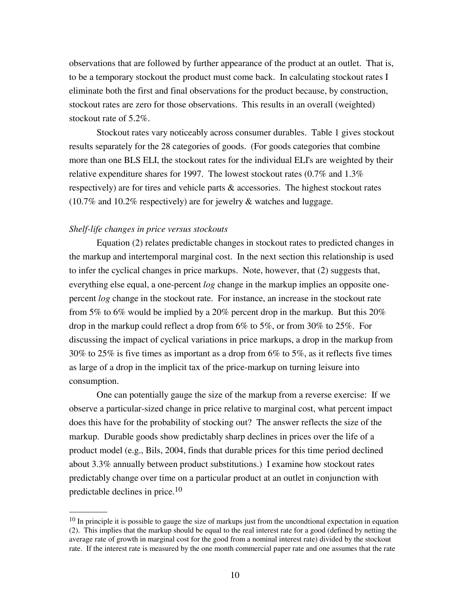observations that are followed by further appearance of the product at an outlet. That is, to be a temporary stockout the product must come back. In calculating stockout rates I eliminate both the first and final observations for the product because, by construction, stockout rates are zero for those observations. This results in an overall (weighted) stockout rate of 5.2%.

Stockout rates vary noticeably across consumer durables. Table 1 gives stockout results separately for the 28 categories of goods. (For goods categories that combine more than one BLS ELI, the stockout rates for the individual ELI's are weighted by their relative expenditure shares for 1997. The lowest stockout rates  $(0.7\%$  and  $1.3\%$ respectively) are for tires and vehicle parts & accessories. The highest stockout rates (10.7% and 10.2% respectively) are for jewelry & watches and luggage.

#### *Shelf-life changes in price versus stockouts*

Equation (2) relates predictable changes in stockout rates to predicted changes in the markup and intertemporal marginal cost. In the next section this relationship is used to infer the cyclical changes in price markups. Note, however, that (2) suggests that, everything else equal, a one-percent *log* change in the markup implies an opposite onepercent *log* change in the stockout rate. For instance, an increase in the stockout rate from 5% to 6% would be implied by a 20% percent drop in the markup. But this 20% drop in the markup could reflect a drop from 6% to 5%, or from 30% to 25%. For discussing the impact of cyclical variations in price markups, a drop in the markup from 30% to 25% is five times as important as a drop from 6% to 5%, as it reflects five times as large of a drop in the implicit tax of the price-markup on turning leisure into consumption.

One can potentially gauge the size of the markup from a reverse exercise: If we observe a particular-sized change in price relative to marginal cost, what percent impact does this have for the probability of stocking out? The answer reflects the size of the markup. Durable goods show predictably sharp declines in prices over the life of a product model (e.g., Bils, 2004, finds that durable prices for this time period declined about 3.3% annually between product substitutions.) I examine how stockout rates predictably change over time on a particular product at an outlet in conjunction with predictable declines in price.10

<sup>&</sup>lt;sup>10</sup> In principle it is possible to gauge the size of markups just from the uncondtional expectation in equation (2). This implies that the markup should be equal to the real interest rate for a good (defined by netting the average rate of growth in marginal cost for the good from a nominal interest rate) divided by the stockout rate. If the interest rate is measured by the one month commercial paper rate and one assumes that the rate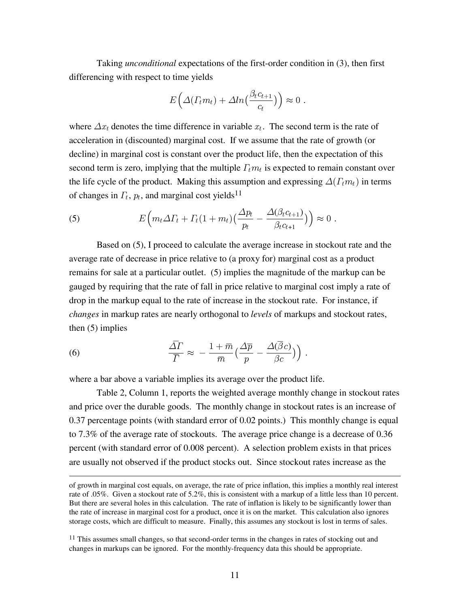Taking *unconditional* expectations of the first-order condition in (3), then first differencing with respect to time yields

$$
E\left(\Delta(\Gamma_t m_t) + \Delta ln\left(\frac{\beta_t c_{t+1}}{c_t}\right)\right) \approx 0.
$$

where  $\Delta x_t$  denotes the time difference in variable  $x_t$ . The second term is the rate of acceleration in (discounted) marginal cost. If we assume that the rate of growth (or decline) in marginal cost is constant over the product life, then the expectation of this second term is zero, implying that the multiple  $\Gamma_t m_t$  is expected to remain constant over the life cycle of the product. Making this assumption and expressing  $\Delta(\Gamma_t m_t)$  in terms of changes in  $\Gamma_t$ ,  $p_t$ , and marginal cost yields<sup>11</sup>

(5) 
$$
E\Big(m_t\Delta\Gamma_t+\Gamma_t(1+m_t)\big(\frac{\Delta p_t}{p_t}-\frac{\Delta(\beta_t c_{t+1})}{\beta_t c_{t+1}}\big)\Big)\approx 0.
$$

Based on (5), I proceed to calculate the average increase in stockout rate and the average rate of decrease in price relative to (a proxy for) marginal cost as a product remains for sale at a particular outlet. (5) implies the magnitude of the markup can be gauged by requiring that the rate of fall in price relative to marginal cost imply a rate of drop in the markup equal to the rate of increase in the stockout rate. For instance, if *changes* in markup rates are nearly orthogonal to *levels* of markups and stockout rates, then (5) implies

(6) 
$$
\frac{\overline{\Delta}\Gamma}{\overline{\Gamma}} \approx -\frac{1+\overline{m}}{\overline{m}} \Big(\frac{\Delta\overline{p}}{p} - \frac{\Delta(\overline{\beta}c)}{\beta c}\Big)\Big).
$$

where a bar above a variable implies its average over the product life.

Table 2, Column 1, reports the weighted average monthly change in stockout rates and price over the durable goods. The monthly change in stockout rates is an increase of 0.37 percentage points (with standard error of 0.02 points.) This monthly change is equal to 7.3% of the average rate of stockouts. The average price change is a decrease of 0.36 percent (with standard error of 0.008 percent). A selection problem exists in that prices are usually not observed if the product stocks out. Since stockout rates increase as the

of growth in marginal cost equals, on average, the rate of price inflation, this implies a monthly real interest rate of .05%. Given a stockout rate of 5.2%, this is consistent with a markup of a little less than 10 percent. But there are several holes in this calculation. The rate of inflation is likely to be significantly lower than the rate of increase in marginal cost for a product, once it is on the market. This calculation also ignores storage costs, which are difficult to measure. Finally, this assumes any stockout is lost in terms of sales.

<sup>&</sup>lt;sup>11</sup> This assumes small changes, so that second-order terms in the changes in rates of stocking out and changes in markups can be ignored. For the monthly-frequency data this should be appropriate.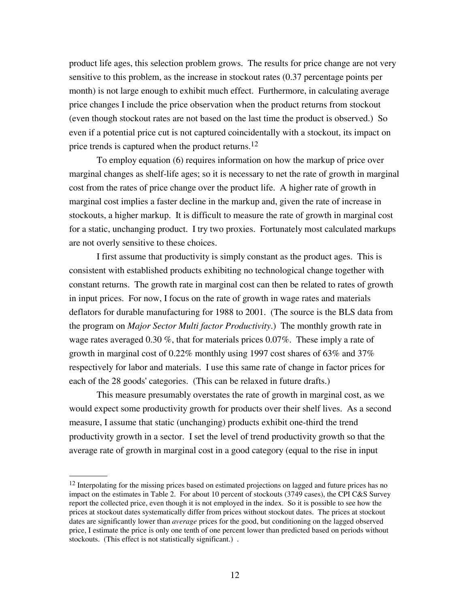product life ages, this selection problem grows. The results for price change are not very sensitive to this problem, as the increase in stockout rates (0.37 percentage points per month) is not large enough to exhibit much effect. Furthermore, in calculating average price changes I include the price observation when the product returns from stockout (even though stockout rates are not based on the last time the product is observed.) So even if a potential price cut is not captured coincidentally with a stockout, its impact on price trends is captured when the product returns.<sup>12</sup>

To employ equation (6) requires information on how the markup of price over marginal changes as shelf-life ages; so it is necessary to net the rate of growth in marginal cost from the rates of price change over the product life. A higher rate of growth in marginal cost implies a faster decline in the markup and, given the rate of increase in stockouts, a higher markup. It is difficult to measure the rate of growth in marginal cost for a static, unchanging product. I try two proxies. Fortunately most calculated markups are not overly sensitive to these choices.

I first assume that productivity is simply constant as the product ages. This is consistent with established products exhibiting no technological change together with constant returns. The growth rate in marginal cost can then be related to rates of growth in input prices. For now, I focus on the rate of growth in wage rates and materials deflators for durable manufacturing for 1988 to 2001. (The source is the BLS data from the program on *Major Sector Multi factor Productivity*.) The monthly growth rate in wage rates averaged 0.30 %, that for materials prices 0.07%. These imply a rate of growth in marginal cost of 0.22% monthly using 1997 cost shares of 63% and 37% respectively for labor and materials. I use this same rate of change in factor prices for each of the 28 goods' categories. (This can be relaxed in future drafts.)

This measure presumably overstates the rate of growth in marginal cost, as we would expect some productivity growth for products over their shelf lives. As a second measure, I assume that static (unchanging) products exhibit one-third the trend productivity growth in a sector. I set the level of trend productivity growth so that the average rate of growth in marginal cost in a good category (equal to the rise in input

<sup>&</sup>lt;sup>12</sup> Interpolating for the missing prices based on estimated projections on lagged and future prices has no impact on the estimates in Table 2. For about 10 percent of stockouts (3749 cases), the CPI C&S Survey report the collected price, even though it is not employed in the index. So it is possible to see how the prices at stockout dates systematically differ from prices without stockout dates. The prices at stockout dates are significantly lower than *average* prices for the good, but conditioning on the lagged observed price, I estimate the price is only one tenth of one percent lower than predicted based on periods without stockouts. (This effect is not statistically significant.) .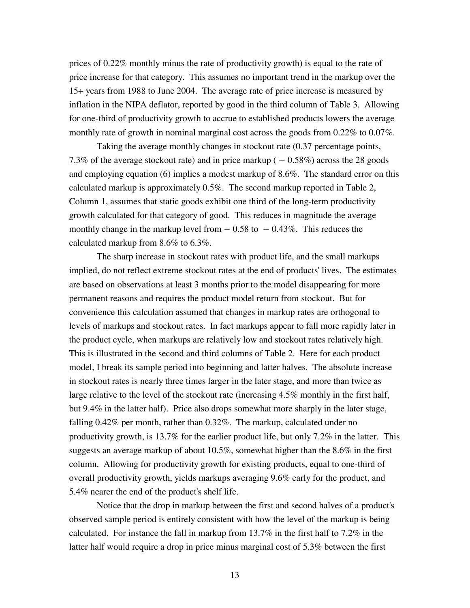prices of 0.22% monthly minus the rate of productivity growth) is equal to the rate of price increase for that category. This assumes no important trend in the markup over the 15+ years from 1988 to June 2004. The average rate of price increase is measured by inflation in the NIPA deflator, reported by good in the third column of Table 3. Allowing for one-third of productivity growth to accrue to established products lowers the average monthly rate of growth in nominal marginal cost across the goods from 0.22% to 0.07%.

Taking the average monthly changes in stockout rate (0.37 percentage points, 7.3% of the average stockout rate) and in price markup  $(-0.58\%)$  across the 28 goods and employing equation (6) implies a modest markup of 8.6%. The standard error on this calculated markup is approximately 0.5%. The second markup reported in Table 2, Column 1, assumes that static goods exhibit one third of the long-term productivity growth calculated for that category of good. This reduces in magnitude the average monthly change in the markup level from  $-0.58$  to  $-0.43\%$ . This reduces the calculated markup from 8.6% to 6.3%.

The sharp increase in stockout rates with product life, and the small markups implied, do not reflect extreme stockout rates at the end of products' lives. The estimates are based on observations at least 3 months prior to the model disappearing for more permanent reasons and requires the product model return from stockout. But for convenience this calculation assumed that changes in markup rates are orthogonal to levels of markups and stockout rates. In fact markups appear to fall more rapidly later in the product cycle, when markups are relatively low and stockout rates relatively high. This is illustrated in the second and third columns of Table 2. Here for each product model, I break its sample period into beginning and latter halves. The absolute increase in stockout rates is nearly three times larger in the later stage, and more than twice as large relative to the level of the stockout rate (increasing 4.5% monthly in the first half, but 9.4% in the latter half). Price also drops somewhat more sharply in the later stage, falling 0.42% per month, rather than 0.32%. The markup, calculated under no productivity growth, is 13.7% for the earlier product life, but only 7.2% in the latter. This suggests an average markup of about 10.5%, somewhat higher than the 8.6% in the first column. Allowing for productivity growth for existing products, equal to one-third of overall productivity growth, yields markups averaging 9.6% early for the product, and 5.4% nearer the end of the product's shelf life.

Notice that the drop in markup between the first and second halves of a product's observed sample period is entirely consistent with how the level of the markup is being calculated. For instance the fall in markup from 13.7% in the first half to 7.2% in the latter half would require a drop in price minus marginal cost of 5.3% between the first

13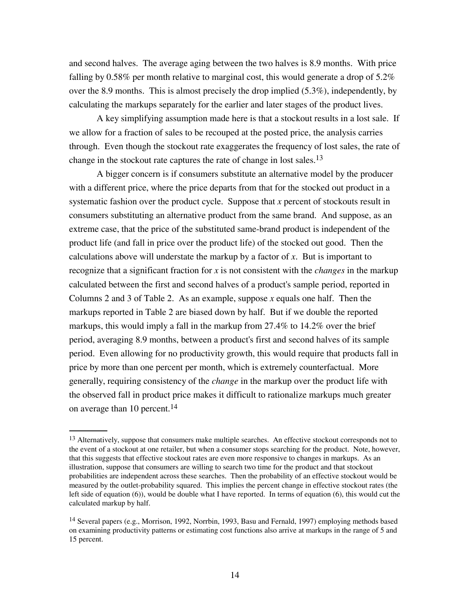and second halves. The average aging between the two halves is 8.9 months. With price falling by 0.58% per month relative to marginal cost, this would generate a drop of  $5.2\%$ over the 8.9 months. This is almost precisely the drop implied (5.3%), independently, by calculating the markups separately for the earlier and later stages of the product lives.

A key simplifying assumption made here is that a stockout results in a lost sale. If we allow for a fraction of sales to be recouped at the posted price, the analysis carries through. Even though the stockout rate exaggerates the frequency of lost sales, the rate of change in the stockout rate captures the rate of change in lost sales.<sup>13</sup>

A bigger concern is if consumers substitute an alternative model by the producer with a different price, where the price departs from that for the stocked out product in a systematic fashion over the product cycle. Suppose that *x* percent of stockouts result in consumers substituting an alternative product from the same brand. And suppose, as an extreme case, that the price of the substituted same-brand product is independent of the product life (and fall in price over the product life) of the stocked out good. Then the calculations above will understate the markup by a factor of  $x$ . But is important to recognize that a significant fraction for  $x$  is not consistent with the *changes* in the markup calculated between the first and second halves of a product's sample period, reported in Columns 2 and 3 of Table 2. As an example, suppose x equals one half. Then the markups reported in Table 2 are biased down by half. But if we double the reported markups, this would imply a fall in the markup from 27.4% to 14.2% over the brief period, averaging 8.9 months, between a product's first and second halves of its sample period. Even allowing for no productivity growth, this would require that products fall in price by more than one percent per month, which is extremely counterfactual. More generally, requiring consistency of the *change* in the markup over the product life with the observed fall in product price makes it difficult to rationalize markups much greater on average than 10 percent.<sup>14</sup>

<sup>&</sup>lt;sup>13</sup> Alternatively, suppose that consumers make multiple searches. An effective stockout corresponds not to the event of a stockout at one retailer, but when a consumer stops searching for the product. Note, however, that this suggests that effective stockout rates are even more responsive to changes in markups. As an illustration, suppose that consumers are willing to search two time for the product and that stockout probabilities are independent across these searches. Then the probability of an effective stockout would be measured by the outlet-probability squared. This implies the percent change in effective stockout rates (the left side of equation (6)), would be double what I have reported. In terms of equation (6), this would cut the calculated markup by half.

<sup>14</sup> Several papers (e.g., Morrison, 1992, Norrbin, 1993, Basu and Fernald, 1997) employing methods based on examining productivity patterns or estimating cost functions also arrive at markups in the range of 5 and 15 percent.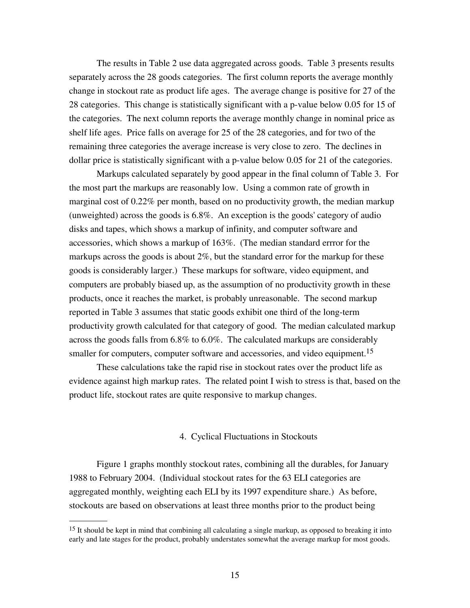The results in Table 2 use data aggregated across goods. Table 3 presents results separately across the 28 goods categories. The first column reports the average monthly change in stockout rate as product life ages. The average change is positive for 27 of the 28 categories. This change is statistically significant with a p-value below 0.05 for 15 of the categories. The next column reports the average monthly change in nominal price as shelf life ages. Price falls on average for 25 of the 28 categories, and for two of the remaining three categories the average increase is very close to zero. The declines in dollar price is statistically significant with a p-value below 0.05 for 21 of the categories.

Markups calculated separately by good appear in the final column of Table 3. For the most part the markups are reasonably low. Using a common rate of growth in marginal cost of 0.22% per month, based on no productivity growth, the median markup (unweighted) across the goods is 6.8%. An exception is the goods' category of audio disks and tapes, which shows a markup of infinity, and computer software and accessories, which shows a markup of 163%. (The median standard errror for the markups across the goods is about  $2\%$ , but the standard error for the markup for these goods is considerably larger.) These markups for software, video equipment, and computers are probably biased up, as the assumption of no productivity growth in these products, once it reaches the market, is probably unreasonable. The second markup reported in Table 3 assumes that static goods exhibit one third of the long-term productivity growth calculated for that category of good. The median calculated markup across the goods falls from 6.8% to 6.0%. The calculated markups are considerably smaller for computers, computer software and accessories, and video equipment.<sup>15</sup>

These calculations take the rapid rise in stockout rates over the product life as evidence against high markup rates. The related point I wish to stress is that, based on the product life, stockout rates are quite responsive to markup changes.

## 4. Cyclical Fluctuations in Stockouts

Figure 1 graphs monthly stockout rates, combining all the durables, for January 1988 to February 2004. (Individual stockout rates for the 63 ELI categories are aggregated monthly, weighting each ELI by its 1997 expenditure share.) As before, stockouts are based on observations at least three months prior to the product being

<sup>&</sup>lt;sup>15</sup> It should be kept in mind that combining all calculating a single markup, as opposed to breaking it into early and late stages for the product, probably understates somewhat the average markup for most goods.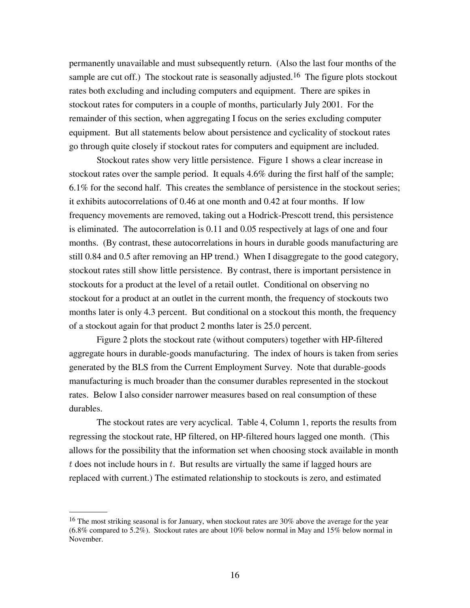permanently unavailable and must subsequently return. (Also the last four months of the sample are cut off.) The stockout rate is seasonally adjusted.<sup>16</sup> The figure plots stockout rates both excluding and including computers and equipment. There are spikes in stockout rates for computers in a couple of months, particularly July 2001. For the remainder of this section, when aggregating I focus on the series excluding computer equipment. But all statements below about persistence and cyclicality of stockout rates go through quite closely if stockout rates for computers and equipment are included.

Stockout rates show very little persistence. Figure 1 shows a clear increase in stockout rates over the sample period. It equals 4.6% during the first half of the sample; 6.1% for the second half. This creates the semblance of persistence in the stockout series; it exhibits autocorrelations of 0.46 at one month and 0.42 at four months. If low frequency movements are removed, taking out a Hodrick-Prescott trend, this persistence is eliminated. The autocorrelation is 0.11 and 0.05 respectively at lags of one and four months. (By contrast, these autocorrelations in hours in durable goods manufacturing are still 0.84 and 0.5 after removing an HP trend.) When I disaggregate to the good category, stockout rates still show little persistence. By contrast, there is important persistence in stockouts for a product at the level of a retail outlet. Conditional on observing no stockout for a product at an outlet in the current month, the frequency of stockouts two months later is only 4.3 percent. But conditional on a stockout this month, the frequency of a stockout again for that product 2 months later is 25.0 percent.

Figure 2 plots the stockout rate (without computers) together with HP-filtered aggregate hours in durable-goods manufacturing. The index of hours is taken from series generated by the BLS from the Current Employment Survey. Note that durable-goods manufacturing is much broader than the consumer durables represented in the stockout rates. Below I also consider narrower measures based on real consumption of these durables.

The stockout rates are very acyclical. Table 4, Column 1, reports the results from regressing the stockout rate, HP filtered, on HP-filtered hours lagged one month. (This allows for the possibility that the information set when choosing stock available in month  $t$  does not include hours in  $t$ . But results are virtually the same if lagged hours are replaced with current.) The estimated relationship to stockouts is zero, and estimated

<sup>&</sup>lt;sup>16</sup> The most striking seasonal is for January, when stockout rates are 30% above the average for the year (6.8% compared to 5.2%). Stockout rates are about 10% below normal in May and 15% below normal in November.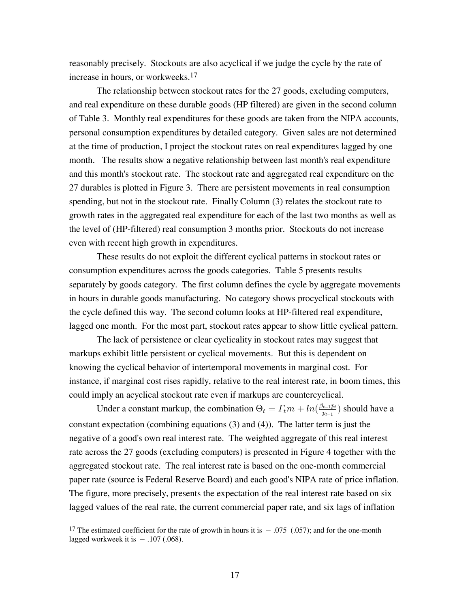reasonably precisely. Stockouts are also acyclical if we judge the cycle by the rate of increase in hours, or workweeks.17

The relationship between stockout rates for the 27 goods, excluding computers, and real expenditure on these durable goods (HP filtered) are given in the second column of Table 3. Monthly real expenditures for these goods are taken from the NIPA accounts, personal consumption expenditures by detailed category. Given sales are not determined at the time of production, I project the stockout rates on real expenditures lagged by one month. The results show a negative relationship between last month's real expenditure and this month's stockout rate. The stockout rate and aggregated real expenditure on the 27 durables is plotted in Figure 3. There are persistent movements in real consumption spending, but not in the stockout rate. Finally Column (3) relates the stockout rate to growth rates in the aggregated real expenditure for each of the last two months as well as the level of (HP-filtered) real consumption 3 months prior. Stockouts do not increase even with recent high growth in expenditures.

These results do not exploit the different cyclical patterns in stockout rates or consumption expenditures across the goods categories. Table 5 presents results separately by goods category. The first column defines the cycle by aggregate movements in hours in durable goods manufacturing. No category shows procyclical stockouts with the cycle defined this way. The second column looks at HP-filtered real expenditure, lagged one month. For the most part, stockout rates appear to show little cyclical pattern.

The lack of persistence or clear cyclicality in stockout rates may suggest that markups exhibit little persistent or cyclical movements. But this is dependent on knowing the cyclical behavior of intertemporal movements in marginal cost. For instance, if marginal cost rises rapidly, relative to the real interest rate, in boom times, this could imply an acyclical stockout rate even if markups are countercyclical.

Under a constant markup, the combination  $\Theta_t = \Gamma_t m + \ln(\frac{\beta_{t-1} p_t}{p_{t-1}})$  should have a constant expectation (combining equations (3) and (4)). The latter term is just the negative of a good's own real interest rate. The weighted aggregate of this real interest rate across the 27 goods (excluding computers) is presented in Figure 4 together with the aggregated stockout rate. The real interest rate is based on the one-month commercial paper rate (source is Federal Reserve Board) and each good's NIPA rate of price inflation. The figure, more precisely, presents the expectation of the real interest rate based on six lagged values of the real rate, the current commercial paper rate, and six lags of inflation

<sup>&</sup>lt;sup>17</sup> The estimated coefficient for the rate of growth in hours it is  $-.075$  (.057); and for the one-month lagged workweek it is  $-.107$  (.068).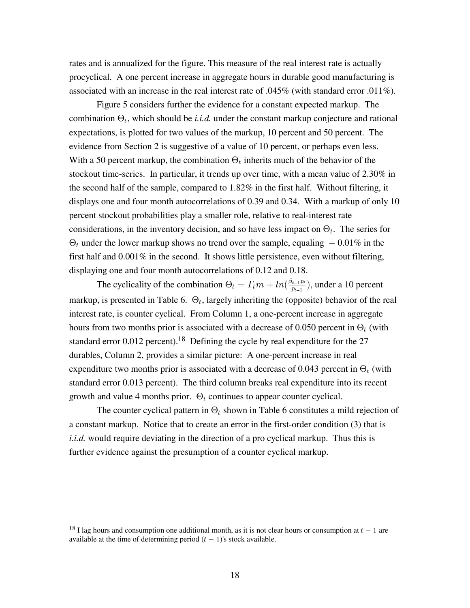rates and is annualized for the figure. This measure of the real interest rate is actually procyclical. A one percent increase in aggregate hours in durable good manufacturing is associated with an increase in the real interest rate of .045% (with standard error .011%).

Figure 5 considers further the evidence for a constant expected markup. The combination  $\Theta_t$ , which should be *i.i.d.* under the constant markup conjecture and rational expectations, is plotted for two values of the markup, 10 percent and 50 percent. The evidence from Section 2 is suggestive of a value of 10 percent, or perhaps even less. With a 50 percent markup, the combination  $\Theta_t$  inherits much of the behavior of the stockout time-series. In particular, it trends up over time, with a mean value of 2.30% in the second half of the sample, compared to 1.82% in the first half. Without filtering, it displays one and four month autocorrelations of 0.39 and 0.34. With a markup of only 10 percent stockout probabilities play a smaller role, relative to real-interest rate considerations, in the inventory decision, and so have less impact on  $\Theta_t$ . The series for  $\Theta_t$  under the lower markup shows no trend over the sample, equaling  $-0.01\%$  in the first half and 0.001% in the second. It shows little persistence, even without filtering, displaying one and four month autocorrelations of 0.12 and 0.18.

The cyclicality of the combination  $\Theta_t = \Gamma_t m + \ln(\frac{\beta_{t-1} p_t}{p_{t-1}})$ , under a 10 percent markup, is presented in Table 6.  $\Theta_t$ , largely inheriting the (opposite) behavior of the real interest rate, is counter cyclical. From Column 1, a one-percent increase in aggregate hours from two months prior is associated with a decrease of 0.050 percent in  $\Theta_t$  (with standard error  $0.012$  percent).<sup>18</sup> Defining the cycle by real expenditure for the  $27$ durables, Column 2, provides a similar picture: A one-percent increase in real expenditure two months prior is associated with a decrease of 0.043 percent in  $\Theta_t$  (with standard error 0.013 percent). The third column breaks real expenditure into its recent growth and value 4 months prior.  $\Theta_t$  continues to appear counter cyclical.

The counter cyclical pattern in  $\Theta_t$  shown in Table 6 constitutes a mild rejection of a constant markup. Notice that to create an error in the first-order condition (3) that is *i.i.d.* would require deviating in the direction of a pro cyclical markup. Thus this is further evidence against the presumption of a counter cyclical markup.

<sup>&</sup>lt;sup>18</sup> I lag hours and consumption one additional month, as it is not clear hours or consumption at  $t-1$  are available at the time of determining period  $(t - 1)$ 's stock available.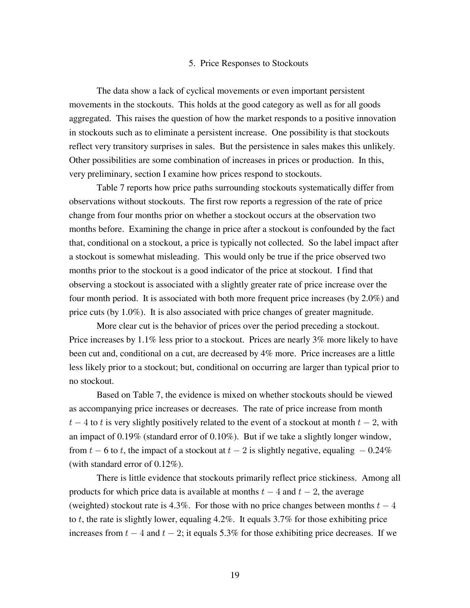## 5. Price Responses to Stockouts

The data show a lack of cyclical movements or even important persistent movements in the stockouts. This holds at the good category as well as for all goods aggregated. This raises the question of how the market responds to a positive innovation in stockouts such as to eliminate a persistent increase. One possibility is that stockouts reflect very transitory surprises in sales. But the persistence in sales makes this unlikely. Other possibilities are some combination of increases in prices or production. In this, very preliminary, section I examine how prices respond to stockouts.

Table 7 reports how price paths surrounding stockouts systematically differ from observations without stockouts. The first row reports a regression of the rate of price change from four months prior on whether a stockout occurs at the observation two months before. Examining the change in price after a stockout is confounded by the fact that, conditional on a stockout, a price is typically not collected. So the label impact after a stockout is somewhat misleading. This would only be true if the price observed two months prior to the stockout is a good indicator of the price at stockout. I find that observing a stockout is associated with a slightly greater rate of price increase over the four month period. It is associated with both more frequent price increases (by 2.0%) and price cuts (by 1.0%). It is also associated with price changes of greater magnitude.

More clear cut is the behavior of prices over the period preceding a stockout. Price increases by 1.1% less prior to a stockout. Prices are nearly 3% more likely to have been cut and, conditional on a cut, are decreased by 4% more. Price increases are a little less likely prior to a stockout; but, conditional on occurring are larger than typical prior to no stockout.

Based on Table 7, the evidence is mixed on whether stockouts should be viewed as accompanying price increases or decreases. The rate of price increase from month  $t-4$  to t is very slightly positively related to the event of a stockout at month  $t-2$ , with an impact of 0.19% (standard error of 0.10%). But if we take a slightly longer window, from  $t - 6$  to t, the impact of a stockout at  $t - 2$  is slightly negative, equaling  $-0.24\%$ (with standard error of 0.12%).

There is little evidence that stockouts primarily reflect price stickiness. Among all products for which price data is available at months  $t-4$  and  $t-2$ , the average (weighted) stockout rate is 4.3%. For those with no price changes between months  $t-4$ to t, the rate is slightly lower, equaling 4.2%. It equals  $3.7\%$  for those exhibiting price increases from  $t - 4$  and  $t - 2$ ; it equals 5.3% for those exhibiting price decreases. If we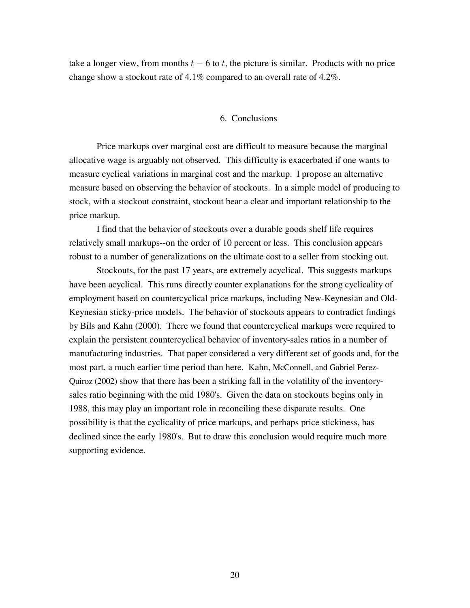take a longer view, from months  $t - 6$  to t, the picture is similar. Products with no price change show a stockout rate of 4.1% compared to an overall rate of 4.2%.

## 6. Conclusions

Price markups over marginal cost are difficult to measure because the marginal allocative wage is arguably not observed. This difficulty is exacerbated if one wants to measure cyclical variations in marginal cost and the markup. I propose an alternative measure based on observing the behavior of stockouts. In a simple model of producing to stock, with a stockout constraint, stockout bear a clear and important relationship to the price markup.

I find that the behavior of stockouts over a durable goods shelf life requires relatively small markups--on the order of 10 percent or less. This conclusion appears robust to a number of generalizations on the ultimate cost to a seller from stocking out.

Stockouts, for the past 17 years, are extremely acyclical. This suggests markups have been acyclical. This runs directly counter explanations for the strong cyclicality of employment based on countercyclical price markups, including New-Keynesian and Old-Keynesian sticky-price models. The behavior of stockouts appears to contradict findings by Bils and Kahn (2000). There we found that countercyclical markups were required to explain the persistent countercyclical behavior of inventory-sales ratios in a number of manufacturing industries. That paper considered a very different set of goods and, for the most part, a much earlier time period than here. Kahn, McConnell, and Gabriel Perez-Quiroz (2002) show that there has been a striking fall in the volatility of the inventorysales ratio beginning with the mid 1980's. Given the data on stockouts begins only in 1988, this may play an important role in reconciling these disparate results. One possibility is that the cyclicality of price markups, and perhaps price stickiness, has declined since the early 1980's. But to draw this conclusion would require much more supporting evidence.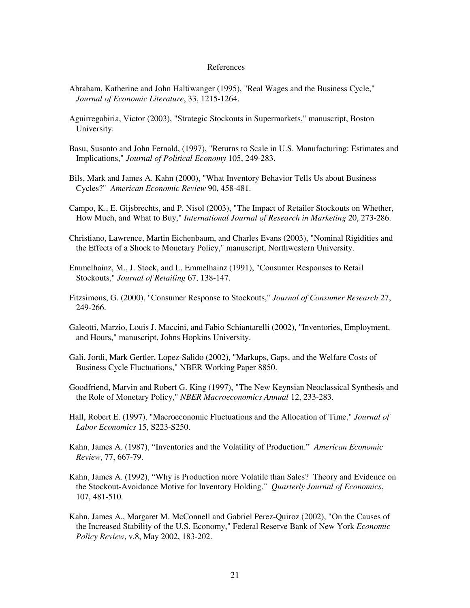#### References

- Abraham, Katherine and John Haltiwanger (1995), "Real Wages and the Business Cycle," *Journal of Economic Literature*, 33, 1215-1264.
- Aguirregabiria, Victor (2003), "Strategic Stockouts in Supermarkets," manuscript, Boston University.
- Basu, Susanto and John Fernald, (1997), "Returns to Scale in U.S. Manufacturing: Estimates and Implications," 105, 249-283. *Journal of Political Economy*
- Bils, Mark and James A. Kahn (2000), "What Inventory Behavior Tells Us about Business Cycles?" American Economic Review 90, 458-481.
- Campo, K., E. Gijsbrechts, and P. Nisol (2003), "The Impact of Retailer Stockouts on Whether, How Much, and What to Buy," *International Journal of Research in Marketing* 20, 273-286.
- Christiano, Lawrence, Martin Eichenbaum, and Charles Evans (2003), "Nominal Rigidities and the Effects of a Shock to Monetary Policy," manuscript, Northwestern University.
- Emmelhainz, M., J. Stock, and L. Emmelhainz (1991), "Consumer Responses to Retail Stockouts," *Journal of Retailing* 67, 138-147.
- Fitzsimons, G. (2000), "Consumer Response to Stockouts," *Journal of Consumer Research* 27, 249-266.
- Galeotti, Marzio, Louis J. Maccini, and Fabio Schiantarelli (2002), "Inventories, Employment, and Hours," manuscript, Johns Hopkins University.
- Gali, Jordi, Mark Gertler, Lopez-Salido (2002), "Markups, Gaps, and the Welfare Costs of Business Cycle Fluctuations," NBER Working Paper 8850.
- Goodfriend, Marvin and Robert G. King (1997), "The New Keynsian Neoclassical Synthesis and the Role of Monetary Policy," *NBER Macroeconomics Annual* 12, 233-283.
- Hall, Robert E. (1997), "Macroeconomic Fluctuations and the Allocation of Time," *Journal of Labor Economics* 15, S223-S250.
- Kahn, James A. (1987), "Inventories and the Volatility of Production." *American Economic Review*, 77, 667-79.
- Kahn, James A. (1992), "Why is Production more Volatile than Sales? Theory and Evidence on the Stockout-Avoidance Motive for Inventory Holding." Quarterly Journal of Economics, 107, 481-510.
- Kahn, James A., Margaret M. McConnell and Gabriel Perez-Quiroz (2002), "On the Causes of the Increased Stability of the U.S. Economy," Federal Reserve Bank of New York *Economic Policy Review*, v.8, May 2002, 183-202.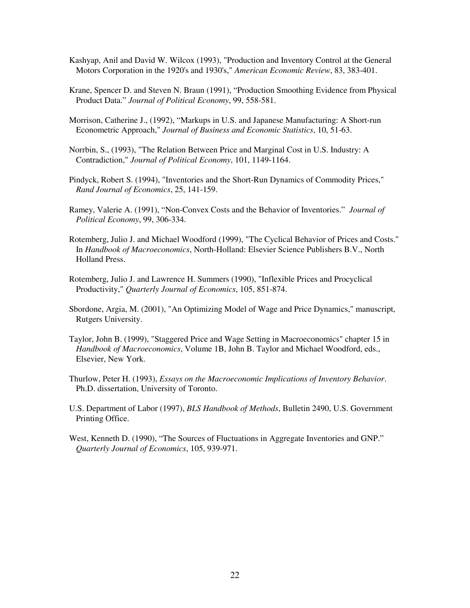- Kashyap, Anil and David W. Wilcox (1993), "Production and Inventory Control at the General Motors Corporation in the 1920's and 1930's," *American Economic Review*, 83, 383-401.
- Krane, Spencer D. and Steven N. Braun (1991), "Production Smoothing Evidence from Physical Product Data." *Journal of Political Economy*, 99, 558-581.
- Morrison, Catherine J., (1992), "Markups in U.S. and Japanese Manufacturing: A Short-run Econometric Approach," Journal of Business and Economic Statistics, 10, 51-63.
- Norrbin, S., (1993), "The Relation Between Price and Marginal Cost in U.S. Industry: A Contradiction," Journal of Political Economy, 101, 1149-1164.
- Pindyck, Robert S. (1994), "Inventories and the Short-Run Dynamics of Commodity Prices," *Rand Journal of Economics*, 25, 141-159.
- Ramey, Valerie A. (1991), "Non-Convex Costs and the Behavior of Inventories." *Journal of Political Economy*, 99, 306-334.
- Rotemberg, Julio J. and Michael Woodford (1999), "The Cyclical Behavior of Prices and Costs." In *Handbook of Macroeconomics*, North-Holland: Elsevier Science Publishers B.V., North Holland Press.
- Rotemberg, Julio J. and Lawrence H. Summers (1990), "Inflexible Prices and Procyclical Productivity," *Quarterly Journal of Economics*, 105, 851-874.
- Sbordone, Argia, M. (2001), "An Optimizing Model of Wage and Price Dynamics," manuscript, Rutgers University.
- Taylor, John B. (1999), "Staggered Price and Wage Setting in Macroeconomics" chapter 15 in *Handbook of Macroeconomics*, Volume 1B, John B. Taylor and Michael Woodford, eds., Elsevier, New York.
- Thurlow, Peter H. (1993), *Essays on the Macroeconomic Implications of Inventory Behavior*. Ph.D. dissertation, University of Toronto.
- U.S. Department of Labor (1997), *BLS Handbook of Methods*, Bulletin 2490, U.S. Government Printing Office.
- West, Kenneth D. (1990), "The Sources of Fluctuations in Aggregate Inventories and GNP." *Quarterly Journal of Economics*, 105, 939-971.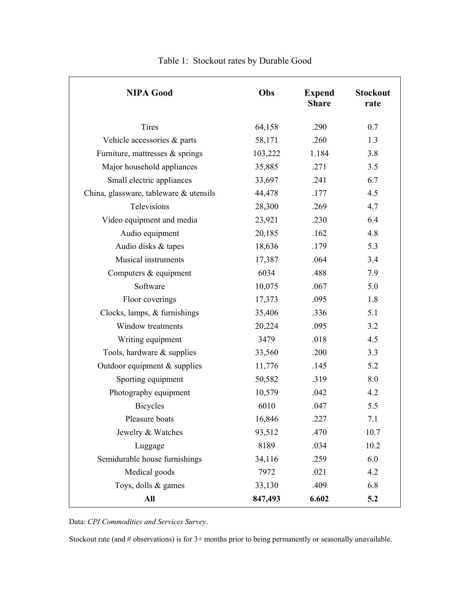| <b>NIPA Good</b>                       | Obs     | <b>Expend</b><br><b>Share</b> | <b>Stockout</b><br>rate |
|----------------------------------------|---------|-------------------------------|-------------------------|
| Tires                                  | 64,158  | .290                          | 0.7                     |
| Vehicle accessories & parts            | 58,171  | .260                          | 1.3                     |
| Furniture, mattresses & springs        | 103,222 | 1.184                         | 3.8                     |
| Major household appliances             | 35,885  | .271                          | 3.5                     |
| Small electric appliances              | 33,697  | .241                          | 6.7                     |
| China, glassware, tableware & utensils | 44,478  | .177                          | 4.5                     |
| Televisions                            | 28,300  | .269                          | 4.7                     |
| Video equipment and media              | 23,921  | .230                          | 6.4                     |
| Audio equipment                        | 20,185  | .162                          | 4.8                     |
| Audio disks & tapes                    | 18,636  | .179                          | 5.3                     |
| Musical instruments                    | 17,387  | .064                          | 3.4                     |
| Computers & equipment                  | 6034    | .488                          | 7.9                     |
| Software                               | 10,075  | .067                          | 5.0                     |
| Floor coverings                        | 17,373  | .095                          | 1.8                     |
| Clocks, lamps, & furnishings           | 35,406  | .336                          | 5.1                     |
| Window treatments                      | 20,224  | .095                          | 3.2                     |
| Writing equipment                      | 3479    | .018                          | 4.5                     |
| Tools, hardware & supplies             | 33,560  | .200                          | 3.3                     |
| Outdoor equipment $&$ supplies         | 11,776  | .145                          | 5.2                     |
| Sporting equipment                     | 50,582  | .319                          | 8.0                     |
| Photography equipment                  | 10,579  | .042                          | 4.2                     |
| <b>Bicycles</b>                        | 6010    | .047                          | 5.5                     |
| Pleasure boats                         | 16,846  | .227                          | 7.1                     |
| Jewelry & Watches                      | 93,512  | .470                          | 10.7                    |
| Luggage                                | 8189    | .034                          | 10.2                    |
| Semidurable house furnishings          | 34,116  | .259                          | 6.0                     |
| Medical goods                          | 7972    | .021                          | 4.2                     |
| Toys, dolls & games                    | 33,130  | .409                          | 6.8                     |
| All                                    | 847,493 | 6.602                         | 5.2                     |

Table 1: Stockout rates by Durable Good

Data: *CPI Commodities and Services Survey*.

Stockout rate (and # observations) is for 3+ months prior to being permanently or seasonally unavailable.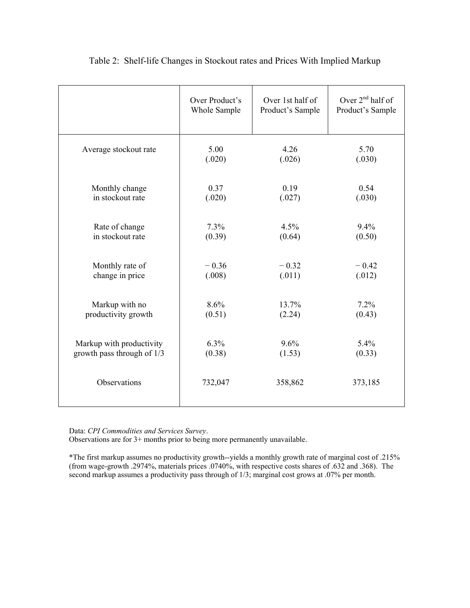|                            | Over Product's | Over 1st half of | Over $2^{nd}$ half of |
|----------------------------|----------------|------------------|-----------------------|
|                            | Whole Sample   | Product's Sample | Product's Sample      |
| Average stockout rate      | 5.00           | 4.26             | 5.70                  |
|                            | (.020)         | (.026)           | (.030)                |
| Monthly change             | 0.37           | 0.19             | 0.54                  |
| in stockout rate           | (.020)         | (.027)           | (.030)                |
| Rate of change             | 7.3%           | 4.5%             | 9.4%                  |
| in stockout rate           | (0.39)         | (0.64)           | (0.50)                |
| Monthly rate of            | $-0.36$        | $-0.32$          | $-0.42$               |
| change in price            | (.008)         | (.011)           | (.012)                |
| Markup with no             | 8.6%           | 13.7%            | 7.2%                  |
| productivity growth        | (0.51)         | (2.24)           | (0.43)                |
| Markup with productivity   | 6.3%           | 9.6%             | 5.4%                  |
| growth pass through of 1/3 | (0.38)         | (1.53)           | (0.33)                |
| Observations               | 732,047        | 358,862          | 373,185               |

## Table 2: Shelf-life Changes in Stockout rates and Prices With Implied Markup

Data: *CPI Commodities and Services Survey*.

Observations are for 3+ months prior to being more permanently unavailable.

\*The first markup assumes no productivity growth--yields a monthly growth rate of marginal cost of .215% (from wage-growth .2974%, materials prices .0740%, with respective costs shares of .632 and .368). The second markup assumes a productivity pass through of 1/3; marginal cost grows at .07% per month.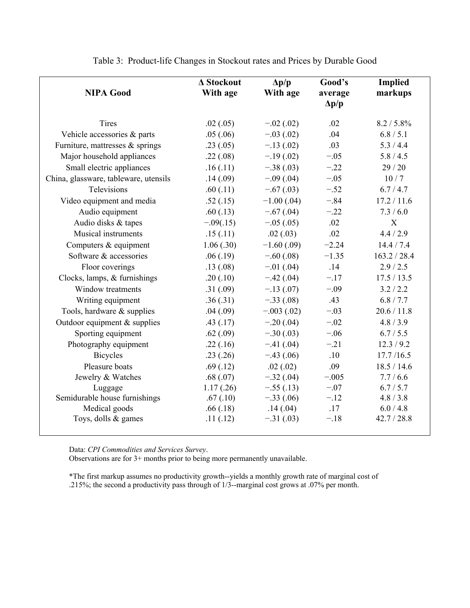| <b>NIPA Good</b>                      | $\Delta$ Stockout<br>With age | $\Delta p/p$<br>With age | Good's<br>average<br>$\Delta p/p$ | <b>Implied</b><br>markups |
|---------------------------------------|-------------------------------|--------------------------|-----------------------------------|---------------------------|
| <b>Tires</b>                          | .02(.05)                      | $-.02(.02)$              | .02                               | $8.2 / 5.8\%$             |
| Vehicle accessories & parts           | .05(.06)                      | $-.03(.02)$              | .04                               | 6.8 / 5.1                 |
| Furniture, mattresses $&$ springs     | .23(.05)                      | $-.13(.02)$              | .03                               | 5.3/4.4                   |
| Major household appliances            | .22(.08)                      | $-.19(.02)$              | $-.05$                            | 5.8 / 4.5                 |
| Small electric appliances             | .16(.11)                      | $-.38(.03)$              | $-.22$                            | 29/20                     |
| China, glassware, tableware, utensils | .14(.09)                      | $-.09(.04)$              | $-.05$                            | 10/7                      |
| Televisions                           | .60(.11)                      | $-.67(.03)$              | $-.52$                            | 6.7/4.7                   |
| Video equipment and media             | .52(.15)                      | $-1.00$ (.04)            | $-.84$                            | 17.2 / 11.6               |
| Audio equipment                       | .60(0.13)                     | $-.67(.04)$              | $-.22$                            | 7.3/6.0                   |
| Audio disks & tapes                   | $-.09(.15)$                   | $-.05(.05)$              | .02                               | X                         |
| Musical instruments                   | .15(.11)                      | .02(.03)                 | .02                               | 4.4 / 2.9                 |
| Computers & equipment                 | 1.06(.30)                     | $-1.60(.09)$             | $-2.24$                           | 14.4 / 7.4                |
| Software & accessories                | .06(.19)                      | $-.60(.08)$              | $-1.35$                           | 163.2 / 28.4              |
| Floor coverings                       | .13(0.08)                     | $-.01(.04)$              | .14                               | 2.9/2.5                   |
| Clocks, lamps, & furnishings          | .20(.10)                      | $-.42(.04)$              | $-.17$                            | 17.5 / 13.5               |
| Window treatments                     | .31(.09)                      | $-.13(.07)$              | $-.09$                            | 3.2 / 2.2                 |
| Writing equipment                     | .36(.31)                      | $-.33(.08)$              | .43                               | 6.8/7.7                   |
| Tools, hardware & supplies            | .04(.09)                      | $-.003(.02)$             | $-.03$                            | 20.6 / 11.8               |
| Outdoor equipment & supplies          | .43(.17)                      | $-.20(.04)$              | $-.02$                            | 4.8 / 3.9                 |
| Sporting equipment                    | .62(.09)                      | $-.30(.03)$              | $-.06$                            | 6.7 / 5.5                 |
| Photography equipment                 | .22(.16)                      | $-.41(.04)$              | $-.21$                            | 12.3 / 9.2                |
| <b>Bicycles</b>                       | .23(.26)                      | $-.43(.06)$              | .10                               | 17.7/16.5                 |
| Pleasure boats                        | .69(.12)                      | .02(.02)                 | .09                               | 18.5 / 14.6               |
| Jewelry & Watches                     | .68(.07)                      | $-.32(.04)$              | $-.005$                           | 7.7/6.6                   |
| Luggage                               | 1.17(0.26)                    | $-.55(.13)$              | $-.07$                            | 6.7 / 5.7                 |
| Semidurable house furnishings         | .67(.10)                      | $-.33(.06)$              | $-.12$                            | 4.8 / 3.8                 |
| Medical goods                         | .66(.18)                      | .14(.04)                 | .17                               | 6.0 / 4.8                 |
| Toys, dolls & games                   | .11(.12)                      | $-.31(.03)$              | $-.18$                            | 42.7 / 28.8               |

Table 3: Product-life Changes in Stockout rates and Prices by Durable Good

Data: *CPI Commodities and Services Survey*.

Observations are for 3+ months prior to being more permanently unavailable.

\*The first markup assumes no productivity growth--yields a monthly growth rate of marginal cost of .215%; the second a productivity pass through of 1/3--marginal cost grows at .07% per month.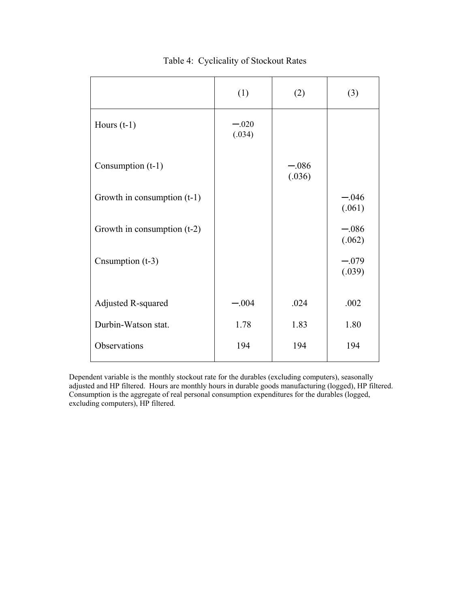|                               | (1)               | (2)               | (3)               |
|-------------------------------|-------------------|-------------------|-------------------|
| Hours $(t-1)$                 | $-.020$<br>(.034) |                   |                   |
| Consumption (t-1)             |                   | $-.086$<br>(.036) |                   |
| Growth in consumption $(t-1)$ |                   |                   | $-.046$<br>(.061) |
| Growth in consumption $(t-2)$ |                   |                   | $-.086$<br>(.062) |
| Cnsumption (t-3)              |                   |                   | $-.079$<br>(.039) |
| Adjusted R-squared            | $-.004$           | .024              | .002              |
| Durbin-Watson stat.           | 1.78              | 1.83              | 1.80              |
| Observations                  | 194               | 194               | 194               |

Table 4: Cyclicality of Stockout Rates

Dependent variable is the monthly stockout rate for the durables (excluding computers), seasonally adjusted and HP filtered. Hours are monthly hours in durable goods manufacturing (logged), HP filtered. Consumption is the aggregate of real personal consumption expenditures for the durables (logged, excluding computers), HP filtered.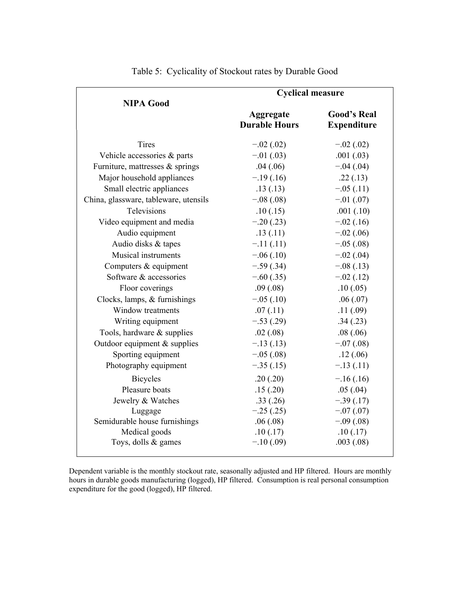|                                       | <b>Cyclical measure</b>           |                                          |  |
|---------------------------------------|-----------------------------------|------------------------------------------|--|
| <b>NIPA Good</b>                      | Aggregate<br><b>Durable Hours</b> | <b>Good's Real</b><br><b>Expenditure</b> |  |
|                                       |                                   |                                          |  |
| <b>Tires</b>                          | $-.02(.02)$                       | $-.02(.02)$                              |  |
| Vehicle accessories & parts           | $-.01(.03)$                       | .001(.03)                                |  |
| Furniture, mattresses $&$ springs     | .04(.06)                          | $-.04(.04)$                              |  |
| Major household appliances            | $-.19(.16)$                       | .22(.13)                                 |  |
| Small electric appliances             | .13(.13)                          | $-.05(.11)$                              |  |
| China, glassware, tableware, utensils | $-.08(.08)$                       | $-.01(.07)$                              |  |
| Televisions                           | .10(.15)                          | .001(.10)                                |  |
| Video equipment and media             | $-.20(.23)$                       | $-.02(.16)$                              |  |
| Audio equipment                       | .13(.11)                          | $-.02(.06)$                              |  |
| Audio disks & tapes                   | $-.11(.11)$                       | $-.05(.08)$                              |  |
| <b>Musical instruments</b>            | $-.06(.10)$                       | $-.02(.04)$                              |  |
| Computers & equipment                 | $-.59(.34)$                       | $-.08(.13)$                              |  |
| Software & accessories                | $-.60(.35)$                       | $-.02(.12)$                              |  |
| Floor coverings                       | .09(.08)                          | .10(.05)                                 |  |
| Clocks, lamps, & furnishings          | $-.05(.10)$                       | .06(.07)                                 |  |
| Window treatments                     | .07(.11)                          | .11(.09)                                 |  |
| Writing equipment                     | $-.53(.29)$                       | .34(.23)                                 |  |
| Tools, hardware & supplies            | .02(.08)                          | .08(.06)                                 |  |
| Outdoor equipment & supplies          | $-.13(.13)$                       | $-.07(.08)$                              |  |
| Sporting equipment                    | $-.05(.08)$                       | .12(0.06)                                |  |
| Photography equipment                 | $-0.35(0.15)$                     | $-.13(.11)$                              |  |
| <b>Bicycles</b>                       | .20(.20)                          | $-.16(.16)$                              |  |
| Pleasure boats                        | .15(.20)                          | .05(.04)                                 |  |
| Jewelry & Watches                     | .33(.26)                          | $-.39(.17)$                              |  |
| Luggage                               | $-.25(.25)$                       | $-.07(.07)$                              |  |
| Semidurable house furnishings         | .06(.08)                          | $-.09(.08)$                              |  |
| Medical goods                         | .10(.17)                          | .10(.17)                                 |  |
| Toys, dolls & games                   | $-.10(.09)$                       | .003(.08)                                |  |

Table 5: Cyclicality of Stockout rates by Durable Good

Dependent variable is the monthly stockout rate, seasonally adjusted and HP filtered. Hours are monthly hours in durable goods manufacturing (logged), HP filtered. Consumption is real personal consumption expenditure for the good (logged), HP filtered.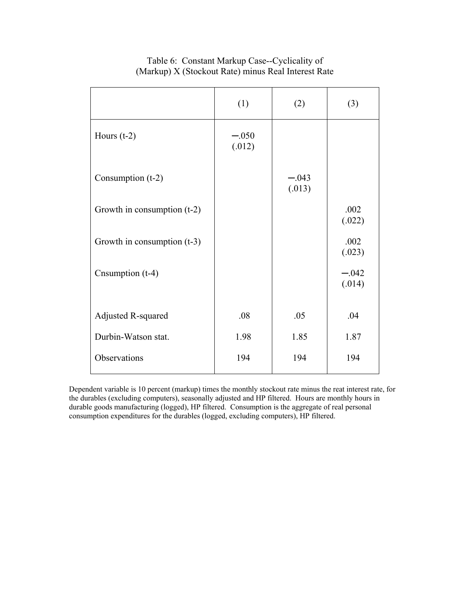|                               | (1)               | (2)               | (3)               |
|-------------------------------|-------------------|-------------------|-------------------|
| Hours $(t-2)$                 | $-.050$<br>(.012) |                   |                   |
| Consumption $(t-2)$           |                   | $-.043$<br>(.013) |                   |
| Growth in consumption (t-2)   |                   |                   | .002<br>(.022)    |
| Growth in consumption $(t-3)$ |                   |                   | .002<br>(.023)    |
| Cnsumption (t-4)              |                   |                   | $-.042$<br>(.014) |
| Adjusted R-squared            | .08               | .05               | .04               |
| Durbin-Watson stat.           | 1.98              | 1.85              | 1.87              |
| Observations                  | 194               | 194               | 194               |

## Table 6: Constant Markup Case--Cyclicality of (Markup) X (Stockout Rate) minus Real Interest Rate

Dependent variable is 10 percent (markup) times the monthly stockout rate minus the reat interest rate, for the durables (excluding computers), seasonally adjusted and HP filtered. Hours are monthly hours in durable goods manufacturing (logged), HP filtered. Consumption is the aggregate of real personal consumption expenditures for the durables (logged, excluding computers), HP filtered.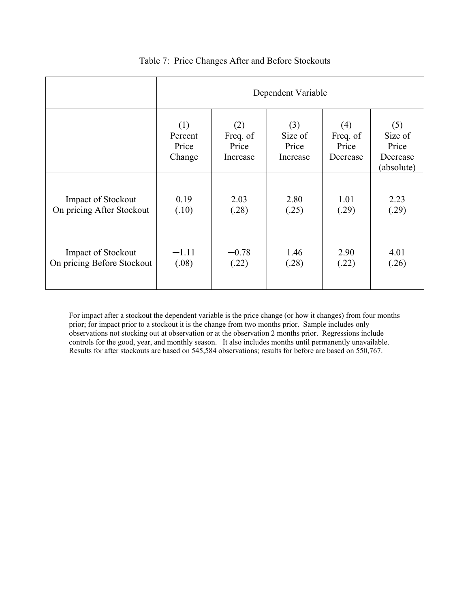|                            | Dependent Variable                |                                      |                                     |                                      |                                                   |
|----------------------------|-----------------------------------|--------------------------------------|-------------------------------------|--------------------------------------|---------------------------------------------------|
|                            | (1)<br>Percent<br>Price<br>Change | (2)<br>Freq. of<br>Price<br>Increase | (3)<br>Size of<br>Price<br>Increase | (4)<br>Freq. of<br>Price<br>Decrease | (5)<br>Size of<br>Price<br>Decrease<br>(absolute) |
| <b>Impact of Stockout</b>  | 0.19                              | 2.03                                 | 2.80                                | 1.01                                 | 2.23                                              |
| On pricing After Stockout  | (.10)                             | (.28)                                | (.25)                               | (.29)                                | (.29)                                             |
| <b>Impact of Stockout</b>  | $-1.11$                           | $-0.78$                              | 1.46                                | 2.90                                 | 4.01                                              |
| On pricing Before Stockout | (.08)                             | (.22)                                | (.28)                               | (.22)                                | (.26)                                             |

## Table 7: Price Changes After and Before Stockouts

For impact after a stockout the dependent variable is the price change (or how it changes) from four months prior; for impact prior to a stockout it is the change from two months prior. Sample includes only observations not stocking out at observation or at the observation 2 months prior. Regressions include controls for the good, year, and monthly season. It also includes months until permanently unavailable. Results for after stockouts are based on 545,584 observations; results for before are based on 550,767.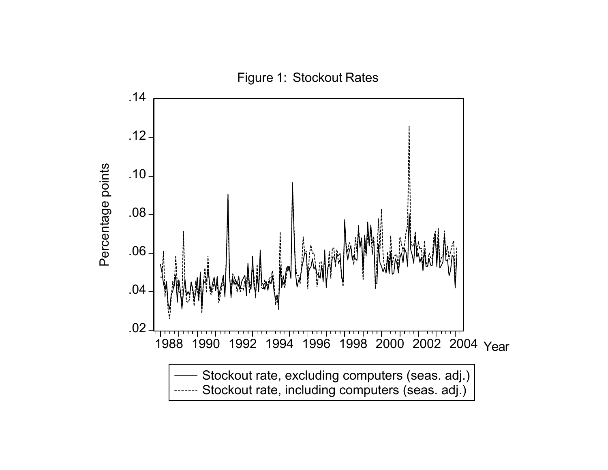Figure 1: Stockout Rates

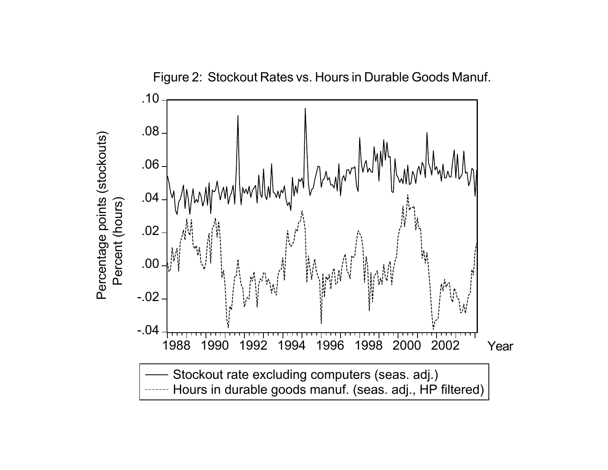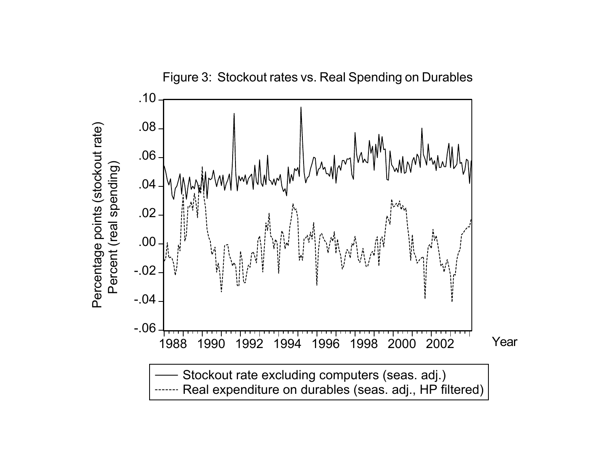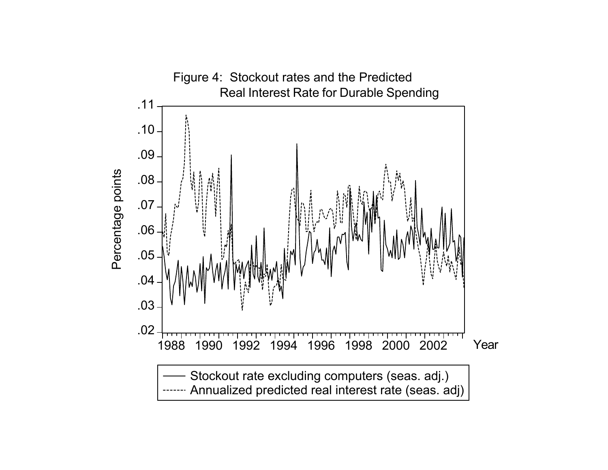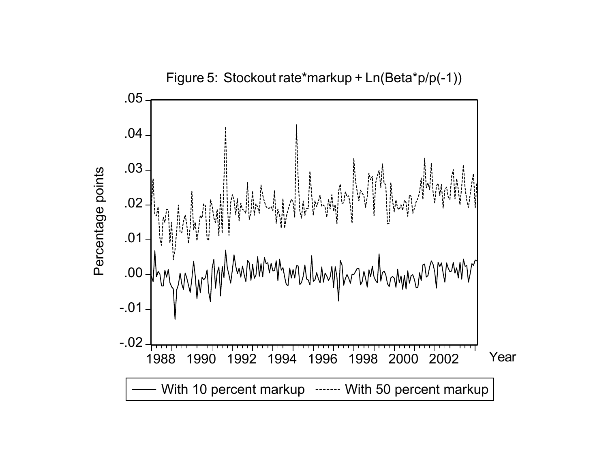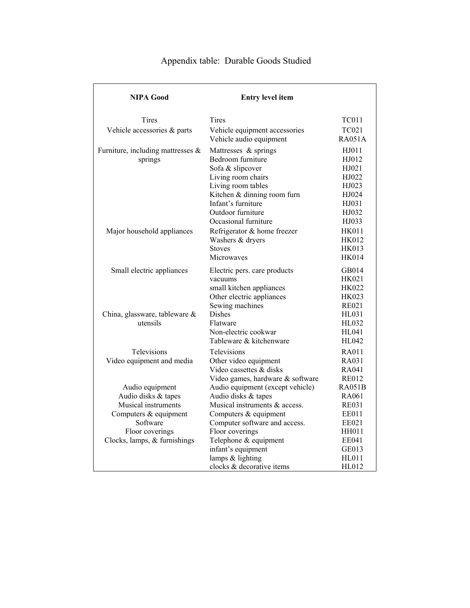| <b>NIPA Good</b>                                                                                                                                      | <b>Entry level item</b>                                                                                                                                                                                              |                                                                                                          |
|-------------------------------------------------------------------------------------------------------------------------------------------------------|----------------------------------------------------------------------------------------------------------------------------------------------------------------------------------------------------------------------|----------------------------------------------------------------------------------------------------------|
| Tires                                                                                                                                                 | Tires                                                                                                                                                                                                                | TC011                                                                                                    |
| Vehicle accessories & parts                                                                                                                           | Vehicle equipment accessories<br>Vehicle audio equipment                                                                                                                                                             | <b>TC021</b><br><b>RA051A</b>                                                                            |
| Furniture, including mattresses &<br>springs                                                                                                          | Mattresses & springs<br>Bedroom furniture<br>Sofa & slipcover<br>Living room chairs<br>Living room tables<br>Kitchen & dinning room furn<br>Infant's furniture                                                       | HJ011<br>HJ012<br>HJ021<br>HJ022<br>HJ023<br>HJ024<br>HJ031                                              |
| Major household appliances                                                                                                                            | Outdoor furniture<br>Occasional furniture<br>Refrigerator & home freezer<br>Washers & dryers<br><b>Stoves</b><br>Microwaves                                                                                          | HJ032<br>HJ033<br><b>HK011</b><br><b>HK012</b><br><b>HK013</b><br><b>HK014</b>                           |
| Small electric appliances                                                                                                                             | Electric pers. care products<br>vacuums<br>small kitchen appliances<br>Other electric appliances<br>Sewing machines                                                                                                  | GB014<br>HK021<br><b>HK022</b><br><b>HK023</b><br><b>RE021</b>                                           |
| China, glassware, tableware $\&$<br>utensils                                                                                                          | Dishes<br>Flatware<br>Non-electric cookwar<br>Tableware & kitchenware                                                                                                                                                | HL031<br>HL032<br>HL041<br>HL042                                                                         |
| <b>Televisions</b><br>Video equipment and media                                                                                                       | <b>Televisions</b><br>Other video equipment<br>Video cassettes & disks<br>Video games, hardware & software                                                                                                           | RA011<br>RA031<br>RA041<br><b>RE012</b>                                                                  |
| Audio equipment<br>Audio disks & tapes<br>Musical instruments<br>Computers & equipment<br>Software<br>Floor coverings<br>Clocks, lamps, & furnishings | Audio equipment (except vehicle)<br>Audio disks & tapes<br>Musical instruments & access.<br>Computers & equipment<br>Computer software and access.<br>Floor coverings<br>Telephone & equipment<br>infant's equipment | <b>RA051B</b><br>RA061<br><b>RE031</b><br><b>EE011</b><br>EE021<br><b>HH011</b><br><b>EE041</b><br>GE013 |
|                                                                                                                                                       | lamps & lighting<br>clocks & decorative items                                                                                                                                                                        | HL011<br>HL012                                                                                           |

# Appendix table: Durable Goods Studied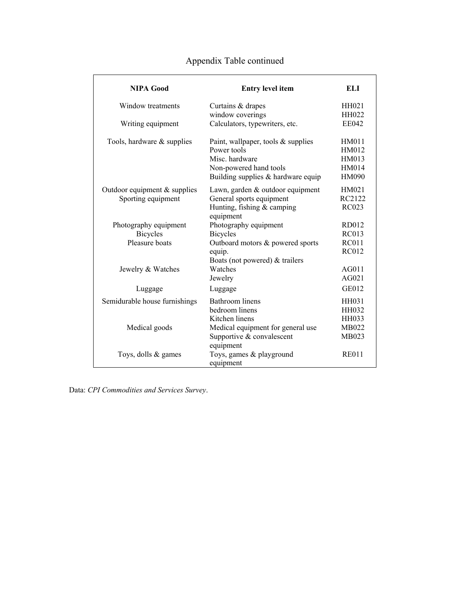| NIPA Good                      | <b>Entry level item</b>              | ELI          |
|--------------------------------|--------------------------------------|--------------|
| Window treatments              | Curtains & drapes                    | HH021        |
|                                | window coverings                     | <b>HH022</b> |
| Writing equipment              | Calculators, typewriters, etc.       | <b>EE042</b> |
| Tools, hardware $&$ supplies   | Paint, wallpaper, tools $&$ supplies | <b>HM011</b> |
|                                | Power tools                          | HM012        |
|                                | Misc. hardware                       | HM013        |
|                                | Non-powered hand tools               | HM014        |
|                                | Building supplies & hardware equip   | <b>HM090</b> |
| Outdoor equipment $&$ supplies | Lawn, garden & outdoor equipment     | HM021        |
| Sporting equipment             | General sports equipment             | RC2122       |
|                                | Hunting, fishing & camping           | <b>RC023</b> |
|                                | equipment                            |              |
| Photography equipment          | Photography equipment                | RD012        |
| <b>Bicycles</b>                | <b>Bicycles</b>                      | <b>RC013</b> |
| Pleasure boats                 | Outboard motors & powered sports     | <b>RC011</b> |
|                                | equip.                               | <b>RC012</b> |
|                                | Boats (not powered) & trailers       |              |
| Jewelry & Watches              | Watches                              | AG011        |
|                                | Jewelry                              | AG021        |
| Luggage                        | Luggage                              | <b>GE012</b> |
| Semidurable house furnishings  | Bathroom linens                      | <b>HH031</b> |
|                                | bedroom linens                       | <b>HH032</b> |
|                                | Kitchen linens                       | HH033        |
| Medical goods                  | Medical equipment for general use    | MB022        |
|                                | Supportive & convalescent            | MB023        |
|                                | equipment                            |              |
| Toys, dolls & games            | Toys, games & playground             | <b>RE011</b> |
|                                | equipment                            |              |

# Appendix Table continued

Data: *CPI Commodities and Services Survey*.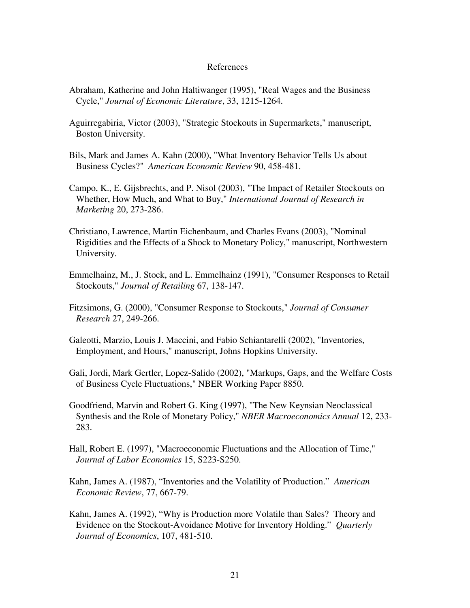## References

- Abraham, Katherine and John Haltiwanger (1995), "Real Wages and the Business Cycle," Journal of Economic Literature, 33, 1215-1264.
- Aguirregabiria, Victor (2003), "Strategic Stockouts in Supermarkets," manuscript, Boston University.
- Bils, Mark and James A. Kahn (2000), "What Inventory Behavior Tells Us about Business Cycles?" American Economic Review 90, 458-481.
- Campo, K., E. Gijsbrechts, and P. Nisol (2003), "The Impact of Retailer Stockouts on Whether, How Much, and What to Buy," *International Journal of Research in Marketing* 20, 273-286.
- Christiano, Lawrence, Martin Eichenbaum, and Charles Evans (2003), "Nominal Rigidities and the Effects of a Shock to Monetary Policy," manuscript, Northwestern University.
- Emmelhainz, M., J. Stock, and L. Emmelhainz (1991), "Consumer Responses to Retail Stockouts," Journal of Retailing 67, 138-147.
- Fitzsimons, G. (2000), "Consumer Response to Stockouts," *Journal of Consumer Research* 27, 249-266.
- Galeotti, Marzio, Louis J. Maccini, and Fabio Schiantarelli (2002), "Inventories, Employment, and Hours," manuscript, Johns Hopkins University.
- Gali, Jordi, Mark Gertler, Lopez-Salido (2002), "Markups, Gaps, and the Welfare Costs of Business Cycle Fluctuations," NBER Working Paper 8850.
- Goodfriend, Marvin and Robert G. King (1997), "The New Keynsian Neoclassical Synthesis and the Role of Monetary Policy," *NBER Macroeconomics Annual* 12, 233- 283.
- Hall, Robert E. (1997), "Macroeconomic Fluctuations and the Allocation of Time," *Journal of Labor Economics* 15, S223-S250.
- Kahn, James A. (1987), "Inventories and the Volatility of Production." *American Economic Review*, 77, 667-79.
- Kahn, James A. (1992), "Why is Production more Volatile than Sales? Theory and Evidence on the Stockout-Avoidance Motive for Inventory Holding." *Quarterly Journal of Economics*, 107, 481-510.